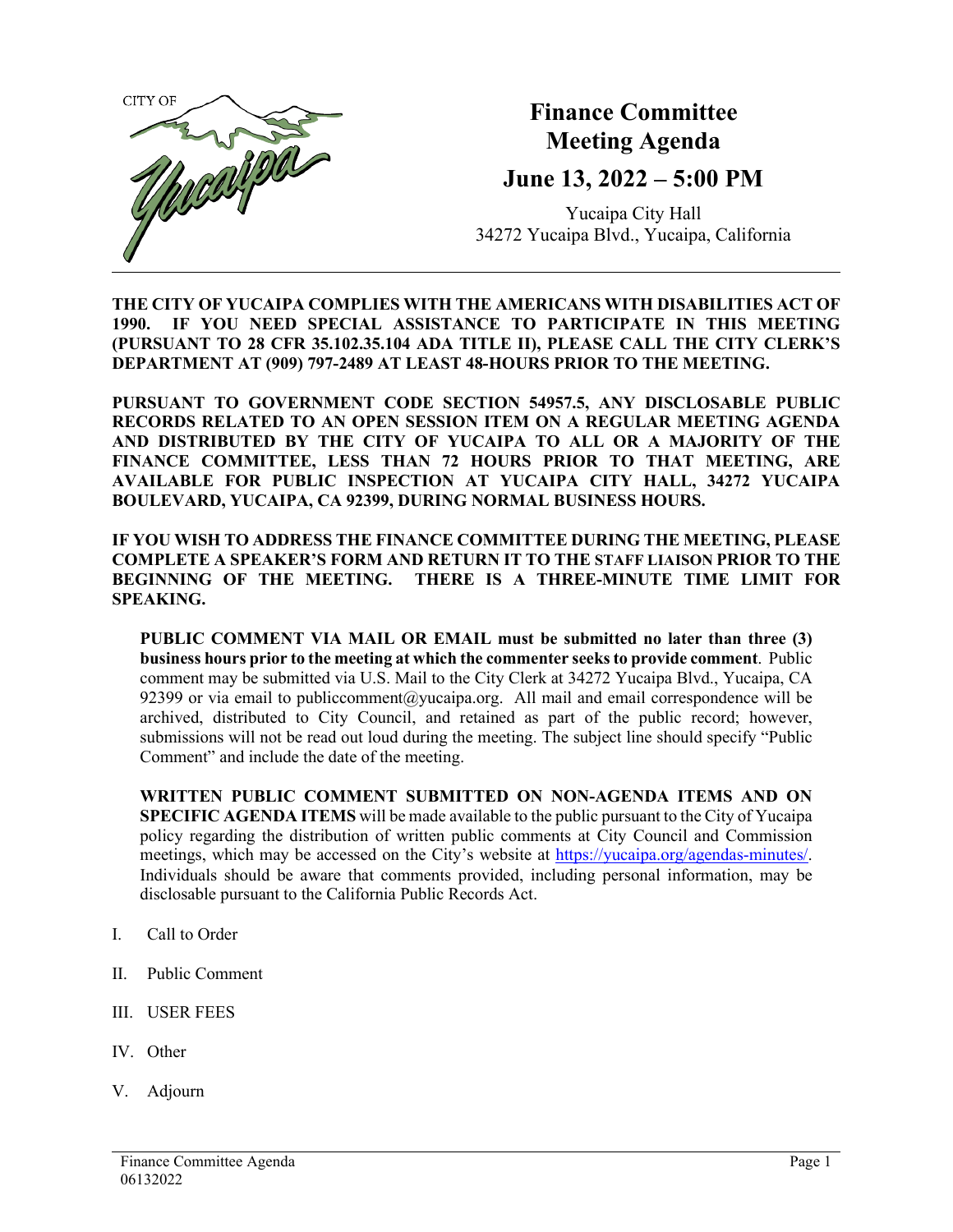

## **Finance Committee Meeting Agenda**

## **June 13, 2022 – 5:00 PM**

Yucaipa City Hall 34272 Yucaipa Blvd., Yucaipa, California

**THE CITY OF YUCAIPA COMPLIES WITH THE AMERICANS WITH DISABILITIES ACT OF 1990. IF YOU NEED SPECIAL ASSISTANCE TO PARTICIPATE IN THIS MEETING (PURSUANT TO 28 CFR 35.102.35.104 ADA TITLE II), PLEASE CALL THE CITY CLERK'S DEPARTMENT AT (909) 797-2489 AT LEAST 48-HOURS PRIOR TO THE MEETING.**

**PURSUANT TO GOVERNMENT CODE SECTION 54957.5, ANY DISCLOSABLE PUBLIC RECORDS RELATED TO AN OPEN SESSION ITEM ON A REGULAR MEETING AGENDA AND DISTRIBUTED BY THE CITY OF YUCAIPA TO ALL OR A MAJORITY OF THE FINANCE COMMITTEE, LESS THAN 72 HOURS PRIOR TO THAT MEETING, ARE AVAILABLE FOR PUBLIC INSPECTION AT YUCAIPA CITY HALL, 34272 YUCAIPA BOULEVARD, YUCAIPA, CA 92399, DURING NORMAL BUSINESS HOURS.**

**IF YOU WISH TO ADDRESS THE FINANCE COMMITTEE DURING THE MEETING, PLEASE COMPLETE A SPEAKER'S FORM AND RETURN IT TO THE STAFF LIAISON PRIOR TO THE BEGINNING OF THE MEETING. THERE IS A THREE-MINUTE TIME LIMIT FOR SPEAKING.**

**PUBLIC COMMENT VIA MAIL OR EMAIL must be submitted no later than three (3) business hours prior to the meeting at which the commenter seeks to provide comment**. Public comment may be submitted via U.S. Mail to the City Clerk at 34272 Yucaipa Blvd., Yucaipa, CA 92399 or via email to [publiccomment@yucaipa.org.](mailto:publiccomment@yucaipa.org) All mail and email correspondence will be archived, distributed to City Council, and retained as part of the public record; however, submissions will not be read out loud during the meeting. The subject line should specify "Public Comment" and include the date of the meeting.

**WRITTEN PUBLIC COMMENT SUBMITTED ON NON-AGENDA ITEMS AND ON SPECIFIC AGENDA ITEMS** will be made available to the public pursuant to the City of Yucaipa policy regarding the distribution of written public comments at City Council and Commission meetings, which may be accessed on the City's website at [https://yucaipa.org/agendas-minutes/.](https://yucaipa.org/agendas-minutes/) Individuals should be aware that comments provided, including personal information, may be disclosable pursuant to the California Public Records Act.

- I. Call to Order
- II. Public Comment
- III. USER FEES
- IV. Other
- V. Adjourn